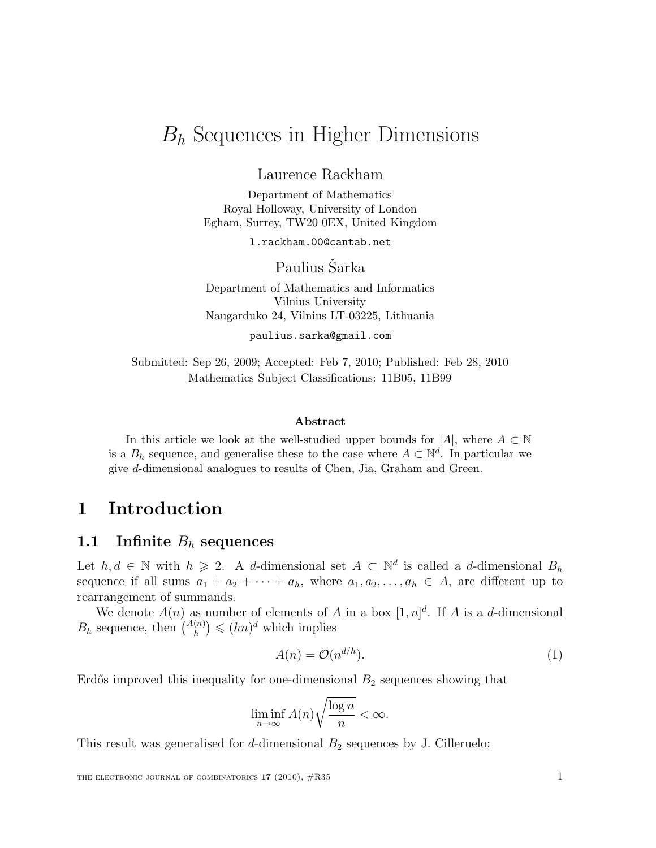# $B_h$  Sequences in Higher Dimensions

Laurence Rackham

Department of Mathematics Royal Holloway, University of London Egham, Surrey, TW20 0EX, United Kingdom

l.rackham.00@cantab.net

Paulius Sarka

Department of Mathematics and Informatics Vilnius University Naugarduko 24, Vilnius LT-03225, Lithuania

paulius.sarka@gmail.com

Submitted: Sep 26, 2009; Accepted: Feb 7, 2010; Published: Feb 28, 2010 Mathematics Subject Classifications: 11B05, 11B99

#### Abstract

In this article we look at the well-studied upper bounds for  $|A|$ , where  $A \subset \mathbb{N}$ is a  $B_h$  sequence, and generalise these to the case where  $A \subset \mathbb{N}^d$ . In particular we give d-dimensional analogues to results of Chen, Jia, Graham and Green.

# 1 Introduction

#### 1.1 Infinite  $B_h$  sequences

Let  $h, d \in \mathbb{N}$  with  $h \geq 2$ . A d-dimensional set  $A \subset \mathbb{N}^d$  is called a d-dimensional  $B_h$ sequence if all sums  $a_1 + a_2 + \cdots + a_h$ , where  $a_1, a_2, \ldots, a_h \in A$ , are different up to rearrangement of summands.

We denote  $A(n)$  as number of elements of A in a box  $[1,n]^d$ . If A is a d-dimensional  $B_h$  sequence, then  $\binom{A(n)}{h} \leqslant (hn)^d$  which implies

$$
A(n) = \mathcal{O}(n^{d/h}).\tag{1}
$$

Erdős improved this inequality for one-dimensional  $B_2$  sequences showing that

$$
\liminf_{n \to \infty} A(n) \sqrt{\frac{\log n}{n}} < \infty.
$$

This result was generalised for  $d$ -dimensional  $B_2$  sequences by J. Cilleruelo: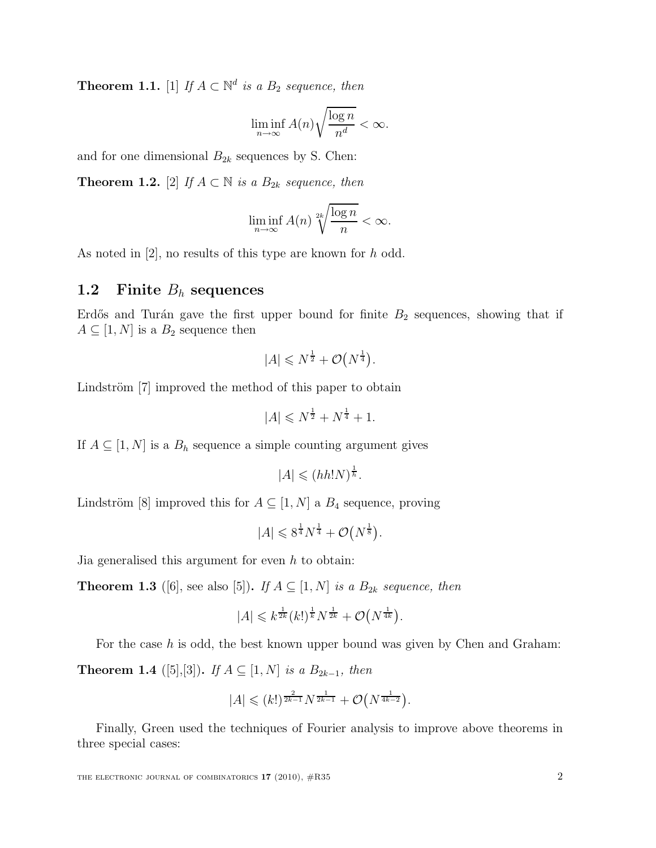**Theorem 1.1.** [1] If  $A \subset \mathbb{N}^d$  is a  $B_2$  sequence, then

$$
\liminf_{n \to \infty} A(n) \sqrt{\frac{\log n}{n^d}} < \infty.
$$

and for one dimensional  $B_{2k}$  sequences by S. Chen:

**Theorem 1.2.** [2] If  $A \subset \mathbb{N}$  is a  $B_{2k}$  sequence, then

$$
\liminf_{n \to \infty} A(n) \sqrt[2k]{\frac{\log n}{n}} < \infty.
$$

As noted in [2], no results of this type are known for h odd.

### 1.2 Finite  $B_h$  sequences

Erdős and Turán gave the first upper bound for finite  $B_2$  sequences, showing that if  $A \subseteq [1, N]$  is a  $B_2$  sequence then

$$
|A| \leq N^{\frac{1}{2}} + \mathcal{O}(N^{\frac{1}{4}}).
$$

Lindström [7] improved the method of this paper to obtain

$$
|A| \leq N^{\frac{1}{2}} + N^{\frac{1}{4}} + 1.
$$

If  $A \subseteq [1, N]$  is a  $B_h$  sequence a simple counting argument gives

$$
|A| \leqslant (hh!N)^{\frac{1}{h}}.
$$

Lindström [8] improved this for  $A \subseteq [1, N]$  a  $B_4$  sequence, proving

$$
|A| \leqslant 8^{\frac{1}{4}}N^{\frac{1}{4}} + \mathcal{O}\left(N^{\frac{1}{8}}\right).
$$

Jia generalised this argument for even  $h$  to obtain:

**Theorem 1.3** ([6], see also [5]). If  $A \subseteq [1, N]$  is a  $B_{2k}$  sequence, then

$$
|A| \leq k^{\frac{1}{2k}} (k!)^{\frac{1}{k}} N^{\frac{1}{2k}} + \mathcal{O}(N^{\frac{1}{4k}}).
$$

For the case  $h$  is odd, the best known upper bound was given by Chen and Graham: **Theorem 1.4** ([5],[3]). If  $A \subseteq [1, N]$  is a  $B_{2k-1}$ , then

$$
|A| \leq (k!)^{\frac{2}{2k-1}} N^{\frac{1}{2k-1}} + \mathcal{O}(N^{\frac{1}{4k-2}}).
$$

Finally, Green used the techniques of Fourier analysis to improve above theorems in three special cases: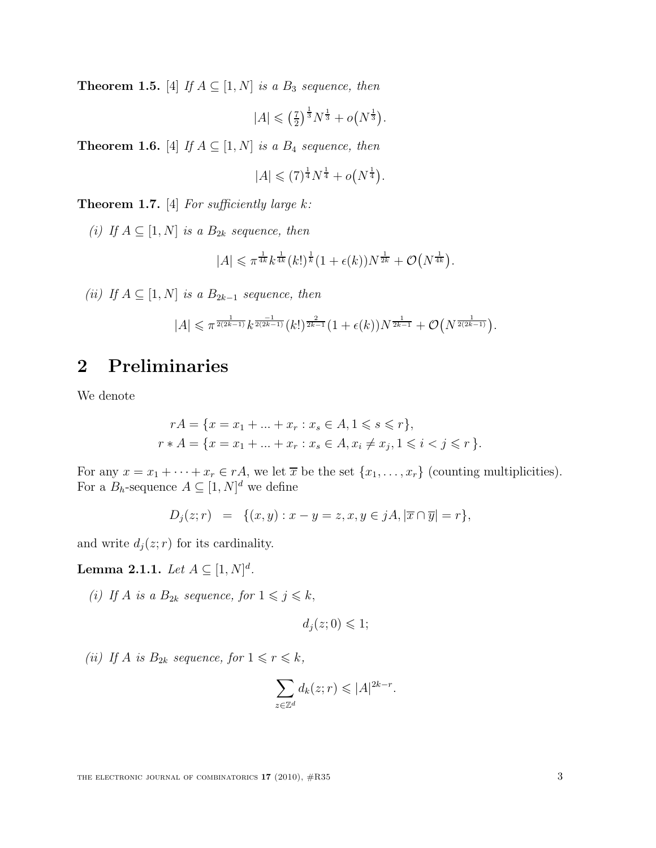**Theorem 1.5.** [4] If  $A \subseteq [1, N]$  is a  $B_3$  sequence, then

$$
|A| \leqslant \left(\frac{7}{2}\right)^{\frac{1}{3}} N^{\frac{1}{3}} + o(N^{\frac{1}{3}}).
$$

**Theorem 1.6.** [4] If  $A \subseteq [1, N]$  is a  $B_4$  sequence, then

$$
|A| \leq (7)^{\frac{1}{4}} N^{\frac{1}{4}} + o(N^{\frac{1}{4}}).
$$

**Theorem 1.7.** [4] For sufficiently large  $k$ :

(i) If  $A \subseteq [1, N]$  is a  $B_{2k}$  sequence, then

$$
|A| \leq \pi^{\frac{1}{4k}} k^{\frac{1}{4k}} (k!)^{\frac{1}{k}} (1 + \epsilon(k)) N^{\frac{1}{2k}} + \mathcal{O}(N^{\frac{1}{4k}}).
$$

(ii) If  $A \subseteq [1, N]$  is a  $B_{2k-1}$  sequence, then

$$
|A| \leqslant \pi^{\frac{1}{2(2k-1)}} k^{\frac{-1}{2(2k-1)}}(k!)^{\frac{2}{2k-1}} (1+\epsilon(k))N^{\frac{1}{2k-1}} + \mathcal{O}\big(N^{\frac{1}{2(2k-1)}}\big).
$$

# 2 Preliminaries

We denote

$$
rA = \{x = x_1 + \dots + x_r : x_s \in A, 1 \le s \le r\},\
$$
  

$$
r * A = \{x = x_1 + \dots + x_r : x_s \in A, x_i \ne x_j, 1 \le i < j \le r\}.
$$

For any  $x = x_1 + \cdots + x_r \in r\mathcal{A}$ , we let  $\overline{x}$  be the set  $\{x_1, \ldots, x_r\}$  (counting multiplicities). For a  $B_h$ -sequence  $A \subseteq [1, N]^d$  we define

$$
D_j(z; r) = \{(x, y) : x - y = z, x, y \in jA, |\overline{x} \cap \overline{y}| = r\},\
$$

and write  $d_j(z; r)$  for its cardinality.

**Lemma 2.1.1.** Let  $A \subseteq [1, N]^d$ .

(i) If A is a  $B_{2k}$  sequence, for  $1 \leqslant j \leqslant k$ ,

$$
d_j(z;0) \leq 1;
$$

(ii) If A is  $B_{2k}$  sequence, for  $1 \leq r \leq k$ ,

$$
\sum_{z \in \mathbb{Z}^d} d_k(z; r) \leqslant |A|^{2k - r}.
$$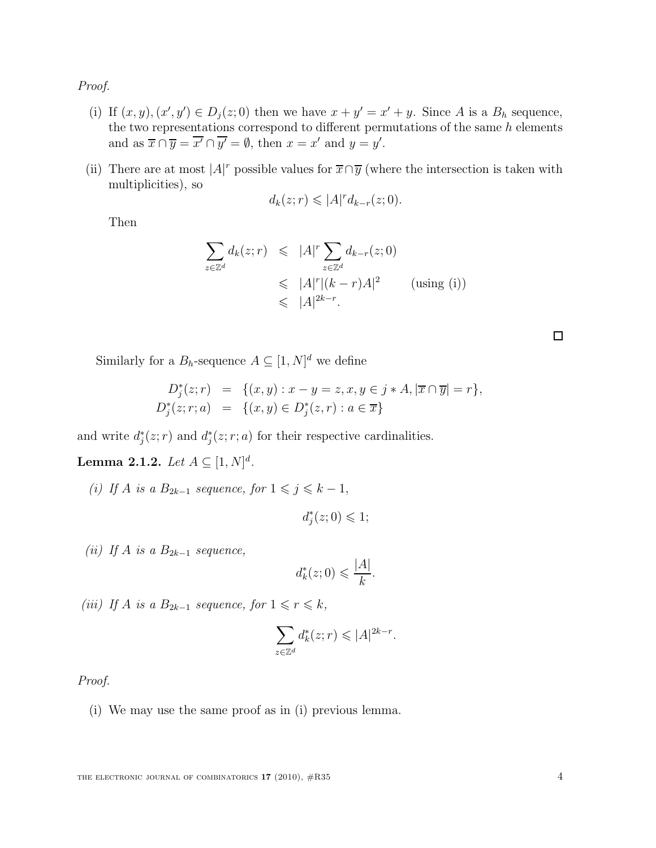Proof.

- (i) If  $(x, y), (x', y') \in D_j(z; 0)$  then we have  $x + y' = x' + y$ . Since A is a  $B_h$  sequence, the two representations correspond to different permutations of the same  $h$  elements and as  $\overline{x} \cap \overline{y} = \overline{x'} \cap \overline{y'} = \emptyset$ , then  $x = x'$  and  $y = y'$ .
- (ii) There are at most  $|A|^r$  possible values for  $\overline{x} \cap \overline{y}$  (where the intersection is taken with multiplicities), so

$$
d_k(z; r) \leqslant |A|^r d_{k-r}(z; 0).
$$

Then

$$
\sum_{z \in \mathbb{Z}^d} d_k(z; r) \leqslant |A|^r \sum_{z \in \mathbb{Z}^d} d_{k-r}(z; 0)
$$
\n
$$
\leqslant |A|^r |(k-r)A|^2 \qquad \text{(using (i))}
$$
\n
$$
\leqslant |A|^{2k-r}.
$$

Similarly for a  $B_h$ -sequence  $A \subseteq [1, N]^d$  we define

$$
D_j^*(z; r) = \{(x, y) : x - y = z, x, y \in j * A, |\overline{x} \cap \overline{y}| = r\},
$$
  

$$
D_j^*(z; r; a) = \{(x, y) \in D_j^*(z, r) : a \in \overline{x}\}
$$

and write  $d_j^*(z; r)$  and  $d_j^*(z; r; a)$  for their respective cardinalities.

**Lemma 2.1.2.** Let  $A \subseteq [1, N]^d$ .

(i) If A is a  $B_{2k-1}$  sequence, for  $1 \leq j \leq k-1$ ,

$$
d_j^*(z;0) \leq 1;
$$

(ii) If A is a  $B_{2k-1}$  sequence,

$$
d_k^*(z;0) \leqslant \frac{|A|}{k}.
$$

(iii) If A is a  $B_{2k-1}$  sequence, for  $1 \leq r \leq k$ ,

$$
\sum_{z \in \mathbb{Z}^d} d_k^*(z; r) \leqslant |A|^{2k - r}.
$$

Proof.

(i) We may use the same proof as in (i) previous lemma.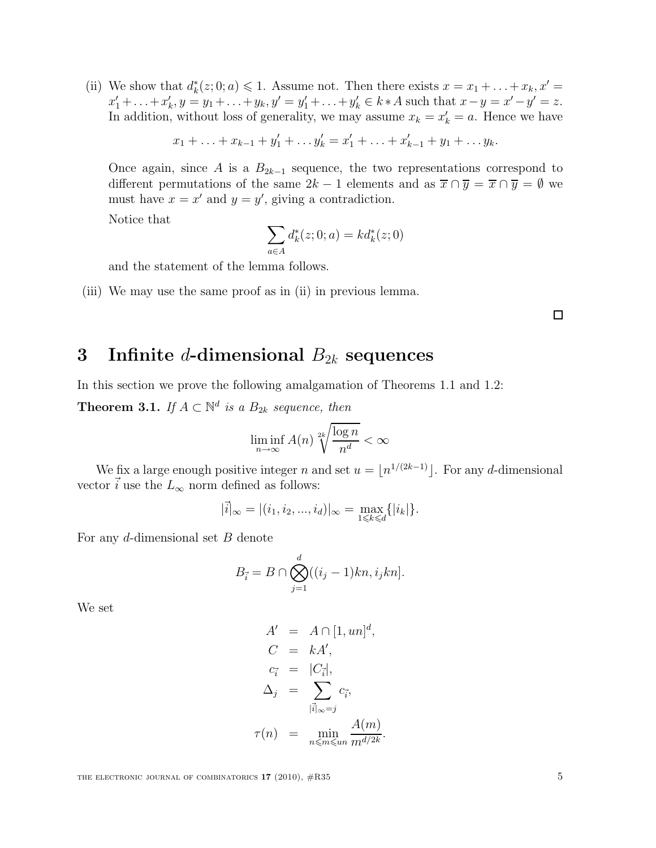(ii) We show that  $d_k^*(z; 0; a) \leq 1$ . Assume not. Then there exists  $x = x_1 + \ldots + x_k, x' =$  $x'_1 + \ldots + x'_k$ ,  $y = y_1 + \ldots + y_k$ ,  $y' = y'_1 + \ldots + y'_k \in k * A$  such that  $x - y = x' - y' = z$ . In addition, without loss of generality, we may assume  $x_k = x'_k = a$ . Hence we have

 $x_1 + \ldots + x_{k-1} + y'_1 + \ldots + y'_k = x'_1 + \ldots + x'_{k-1} + y_1 + \ldots + y_k.$ 

Once again, since A is a  $B_{2k-1}$  sequence, the two representations correspond to different permutations of the same  $2k - 1$  elements and as  $\overline{x} \cap \overline{y} = \overline{x} \cap \overline{y} = \emptyset$  we must have  $x = x'$  and  $y = y'$ , giving a contradiction.

Notice that

$$
\sum_{a\in A}d_k^*(z;0;a)=kd_k^*(z;0)
$$

and the statement of the lemma follows.

(iii) We may use the same proof as in (ii) in previous lemma.

 $\Box$ 

## 3 Infinite d-dimensional  $B_{2k}$  sequences

In this section we prove the following amalgamation of Theorems 1.1 and 1.2: **Theorem 3.1.** If  $A \subset \mathbb{N}^d$  is a  $B_{2k}$  sequence, then

$$
\liminf_{n \to \infty} A(n) \sqrt[2k]{\frac{\log n}{n^d}} < \infty
$$

We fix a large enough positive integer n and set  $u = \lfloor n^{1/(2k-1)} \rfloor$ . For any d-dimensional vector  $\vec{i}$  use the  $L_{\infty}$  norm defined as follows:

$$
|\vec{i}|_{\infty} = |(i_1, i_2, ..., i_d)|_{\infty} = \max_{1 \leq k \leq d} \{|i_k|\}.
$$

For any d-dimensional set B denote

$$
B_{\vec{i}} = B \cap \bigotimes_{j=1}^d ((i_j - 1)kn, i_jkn].
$$

We set

$$
A' = A \cap [1, un]^d,
$$
  
\n
$$
C = kA',
$$
  
\n
$$
c_{\vec{i}} = |C_{\vec{i}}|,
$$
  
\n
$$
\Delta_j = \sum_{|\vec{i}|_{\infty} = j} c_{\vec{i}},
$$
  
\n
$$
\tau(n) = \min_{n \le m \le un} \frac{A(m)}{m^{d/2k}}.
$$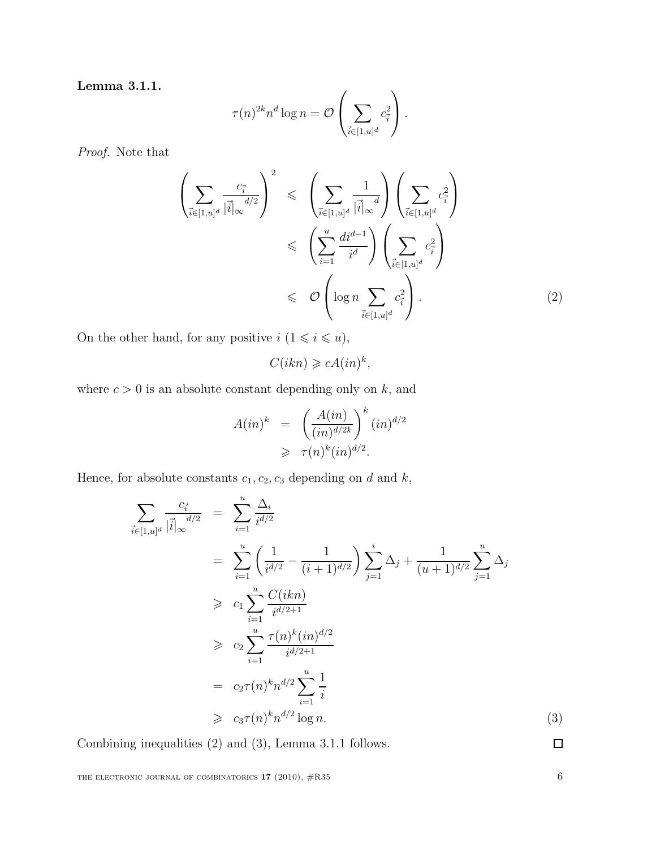Lemma 3.1.1.

$$
\tau(n)^{2k} n^d \log n = \mathcal{O}\left(\sum_{\vec{i} \in [1, u]^d} c_{\vec{i}}^2\right).
$$

Proof. Note that

$$
\left(\sum_{\vec{i}\in[1,u]^d} \frac{c_{\vec{i}}}{|\vec{i}|_{\infty}}\right)^2 \leq \left(\sum_{\vec{i}\in[1,u]^d} \frac{1}{|\vec{i}|_{\infty}}\right) \left(\sum_{\vec{i}\in[1,u]^d} c_{\vec{i}}^2\right)
$$

$$
\leq \left(\sum_{i=1}^u \frac{di^{d-1}}{i^d}\right) \left(\sum_{\vec{i}\in[1,u]^d} c_{\vec{i}}^2\right)
$$

$$
\leq \mathcal{O}\left(\log n \sum_{\vec{i}\in[1,u]^d} c_{\vec{i}}^2\right).
$$
 (2)

On the other hand, for any positive  $i$   $(1\leqslant i\leqslant u),$ 

$$
C(ikn) \geqslant cA(in)^k,
$$

where  $c > 0$  is an absolute constant depending only on  $k$ , and

$$
A(in)^{k} = \left(\frac{A(in)}{(in)^{d/2k}}\right)^{k} (in)^{d/2}
$$

$$
\geq \tau(n)^{k} (in)^{d/2}.
$$

Hence, for absolute constants  $c_1, c_2, c_3$  depending on  $d$  and  $k,$ 

$$
\sum_{\vec{i} \in [1,u]^d} \frac{c_{\vec{i}}}{|\vec{i}|_{\infty}} d/2 = \sum_{i=1}^u \frac{\Delta_i}{i^{d/2}} \n= \sum_{i=1}^u \left( \frac{1}{i^{d/2}} - \frac{1}{(i+1)^{d/2}} \right) \sum_{j=1}^i \Delta_j + \frac{1}{(u+1)^{d/2}} \sum_{j=1}^u \Delta_j \n\geq c_1 \sum_{i=1}^u \frac{C(ikn)}{i^{d/2+1}} \n\geq c_2 \sum_{i=1}^u \frac{\tau(n)^k (in)^{d/2}}{i^{d/2+1}} \n= c_2 \tau(n)^k n^{d/2} \sum_{i=1}^u \frac{1}{i} \n\geq c_3 \tau(n)^k n^{d/2} \log n.
$$
\n(3)

Combining inequalities (2) and (3), Lemma 3.1.1 follows.

THE ELECTRONIC JOURNAL OF COMBINATORICS 17 (2010),  $\#R35$  6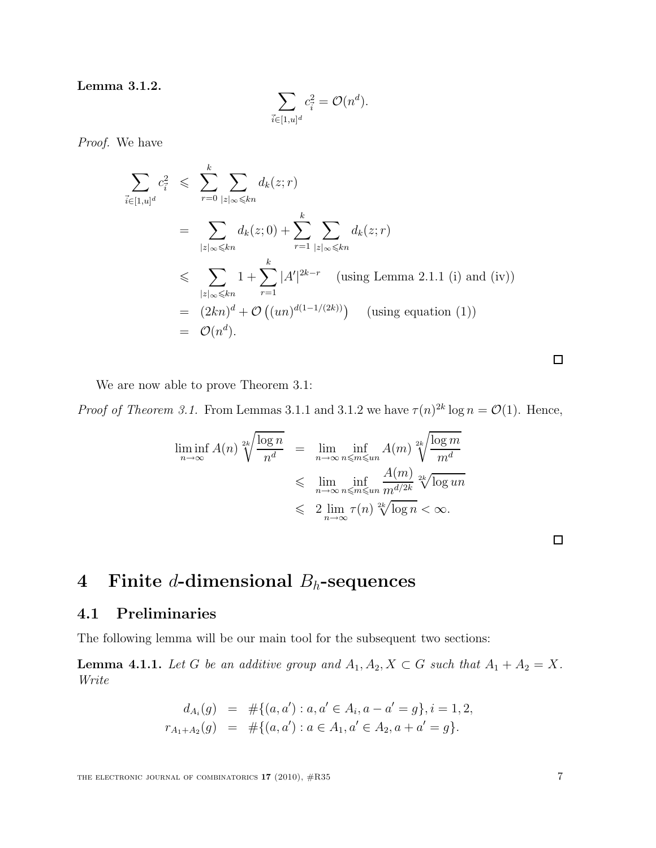Lemma 3.1.2.

$$
\sum_{\vec{i}\in[1,u]^d}c_{\vec{i}}^2=\mathcal{O}(n^d).
$$

Proof. We have

$$
\sum_{\vec{i}\in[1,u]^d} c_{\vec{i}}^2 \leqslant \sum_{r=0}^k \sum_{|z|_{\infty}\leqslant kn} d_k(z;r)
$$
\n
$$
= \sum_{|z|_{\infty}\leqslant kn} d_k(z;0) + \sum_{r=1}^k \sum_{|z|_{\infty}\leqslant kn} d_k(z;r)
$$
\n
$$
\leqslant \sum_{|z|_{\infty}\leqslant kn} 1 + \sum_{r=1}^k |A'|^{2k-r} \quad \text{(using Lemma 2.1.1 (i) and (iv))}
$$
\n
$$
= (2kn)^d + \mathcal{O}\left((un)^{d(1-1/(2k))}\right) \quad \text{(using equation (1))}
$$
\n
$$
= \mathcal{O}(n^d).
$$

We are now able to prove Theorem 3.1:

*Proof of Theorem 3.1.* From Lemmas 3.1.1 and 3.1.2 we have  $\tau(n)^{2k} \log n = \mathcal{O}(1)$ . Hence,

$$
\liminf_{n \to \infty} A(n) \sqrt[2k]{\frac{\log n}{n^d}} = \lim_{n \to \infty} \inf_{n \le m \le m} A(m) \sqrt[2k]{\frac{\log m}{m^d}}
$$
  

$$
\le \lim_{n \to \infty} \inf_{n \le m \le m} \frac{A(m)}{m^{d/2k}} \sqrt[2k]{\log m}
$$
  

$$
\le 2 \lim_{n \to \infty} \tau(n) \sqrt[2k]{\log n} < \infty.
$$

# 4 Finite  $d$ -dimensional  $B_h$ -sequences

## 4.1 Preliminaries

The following lemma will be our main tool for the subsequent two sections:

**Lemma 4.1.1.** Let G be an additive group and  $A_1, A_2, X \subset G$  such that  $A_1 + A_2 = X$ . Write

$$
d_{A_i}(g) = #\{(a, a'): a, a' \in A_i, a - a' = g\}, i = 1, 2,
$$
  

$$
r_{A_1+A_2}(g) = #\{(a, a'): a \in A_1, a' \in A_2, a + a' = g\}.
$$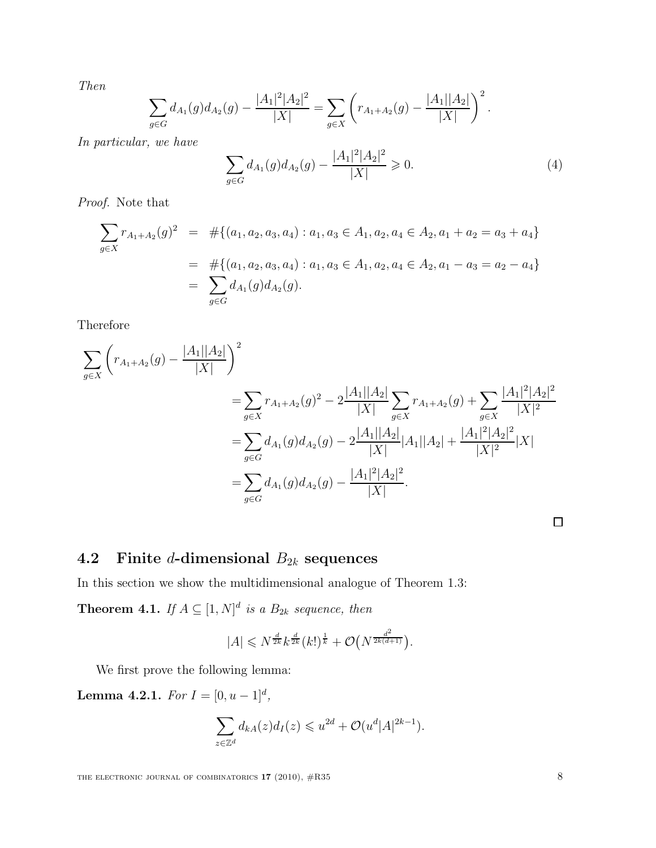Then

$$
\sum_{g\in G} d_{A_1}(g) d_{A_2}(g) - \frac{|A_1|^2 |A_2|^2}{|X|} = \sum_{g\in X} \left( r_{A_1+A_2}(g) - \frac{|A_1||A_2|}{|X|} \right)^2.
$$

In particular, we have

$$
\sum_{g \in G} d_{A_1}(g) d_{A_2}(g) - \frac{|A_1|^2 |A_2|^2}{|X|} \ge 0.
$$
 (4)

Proof. Note that

$$
\sum_{g \in X} r_{A_1 + A_2}(g)^2 = #\{(a_1, a_2, a_3, a_4) : a_1, a_3 \in A_1, a_2, a_4 \in A_2, a_1 + a_2 = a_3 + a_4\}
$$
  
= #\{(a\_1, a\_2, a\_3, a\_4) : a\_1, a\_3 \in A\_1, a\_2, a\_4 \in A\_2, a\_1 - a\_3 = a\_2 - a\_4\}  
= 
$$
\sum_{g \in G} d_{A_1}(g) d_{A_2}(g).
$$

Therefore

$$
\sum_{g \in X} \left( r_{A_1 + A_2}(g) - \frac{|A_1||A_2|}{|X|} \right)^2
$$
\n
$$
= \sum_{g \in X} r_{A_1 + A_2}(g)^2 - 2 \frac{|A_1||A_2|}{|X|} \sum_{g \in X} r_{A_1 + A_2}(g) + \sum_{g \in X} \frac{|A_1|^2 |A_2|^2}{|X|^2}
$$
\n
$$
= \sum_{g \in G} d_{A_1}(g) d_{A_2}(g) - 2 \frac{|A_1||A_2|}{|X|} |A_1||A_2| + \frac{|A_1|^2 |A_2|^2}{|X|^2} |X|
$$
\n
$$
= \sum_{g \in G} d_{A_1}(g) d_{A_2}(g) - \frac{|A_1|^2 |A_2|^2}{|X|}.
$$

 $\Box$ 

# 4.2 Finite *d*-dimensional  $B_{2k}$  sequences

In this section we show the multidimensional analogue of Theorem 1.3:

**Theorem 4.1.** If  $A \subseteq [1, N]^d$  is a  $B_{2k}$  sequence, then

$$
|A| \leq N^{\frac{d}{2k}} k^{\frac{d}{2k}} (k!)^{\frac{1}{k}} + \mathcal{O}(N^{\frac{d^2}{2k(d+1)}}).
$$

We first prove the following lemma:

**Lemma 4.2.1.** For  $I = [0, u-1]^d$ ,

$$
\sum_{z \in \mathbb{Z}^d} d_{kA}(z) d_I(z) \leqslant u^{2d} + \mathcal{O}(u^d |A|^{2k-1}).
$$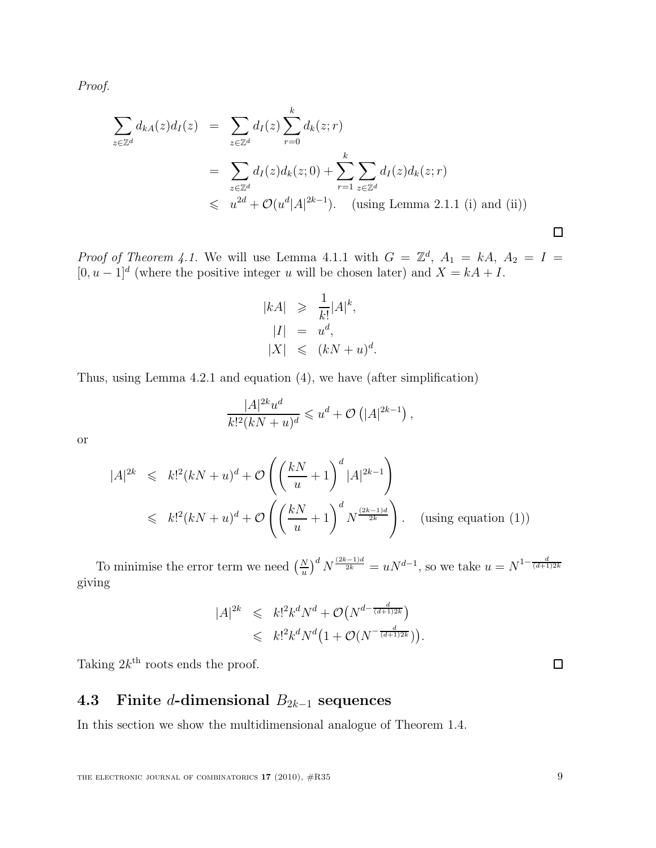Proof.

$$
\sum_{z \in \mathbb{Z}^d} d_{kA}(z) d_I(z) = \sum_{z \in \mathbb{Z}^d} d_I(z) \sum_{r=0}^k d_k(z; r)
$$
  
= 
$$
\sum_{z \in \mathbb{Z}^d} d_I(z) d_k(z; 0) + \sum_{r=1}^k \sum_{z \in \mathbb{Z}^d} d_I(z) d_k(z; r)
$$
  
\$\leqslant \omega^{2d} + \mathcal{O}(u^d |A|^{2k-1}). \text{ (using Lemma 2.1.1 (i) and (ii))}

*Proof of Theorem 4.1.* We will use Lemma 4.1.1 with  $G = \mathbb{Z}^d$ ,  $A_1 = kA$ ,  $A_2 = I$  $[0, u-1]^d$  (where the positive integer u will be chosen later) and  $X = kA + I$ .

$$
|kA| \geq \frac{1}{k!} |A|^k,
$$
  
\n
$$
|I| = u^d,
$$
  
\n
$$
|X| \leq (kN + u)^d.
$$

Thus, using Lemma 4.2.1 and equation (4), we have (after simplification)

$$
\frac{|A|^{2k}u^d}{k!^2(kN+u)^d} \leqslant u^d + \mathcal{O}\left(|A|^{2k-1}\right),
$$

or

$$
|A|^{2k} \le k!^2(kN+u)^d + \mathcal{O}\left(\left(\frac{kN}{u}+1\right)^d |A|^{2k-1}\right)
$$
  

$$
\le k!^2(kN+u)^d + \mathcal{O}\left(\left(\frac{kN}{u}+1\right)^d N^{\frac{(2k-1)d}{2k}}\right).
$$
 (using equation (1))

To minimise the error term we need  $\left(\frac{N}{u}\right)$  $\left(\frac{N}{u}\right)^d N^{\frac{(2k-1)d}{2k}} = uN^{d-1}$ , so we take  $u = N^{1-\frac{d}{(d+1)2k}}$ giving

$$
|A|^{2k} \leq k!^2 k^d N^d + \mathcal{O}(N^{d - \frac{d}{(d+1)2k}}) \leq k!^2 k^d N^d \left(1 + \mathcal{O}(N^{-\frac{d}{(d+1)2k}})\right).
$$

Taking  $2k^{\text{th}}$  roots ends the proof.

## 4.3 Finite d-dimensional  $B_{2k-1}$  sequences

In this section we show the multidimensional analogue of Theorem 1.4.

 $\Box$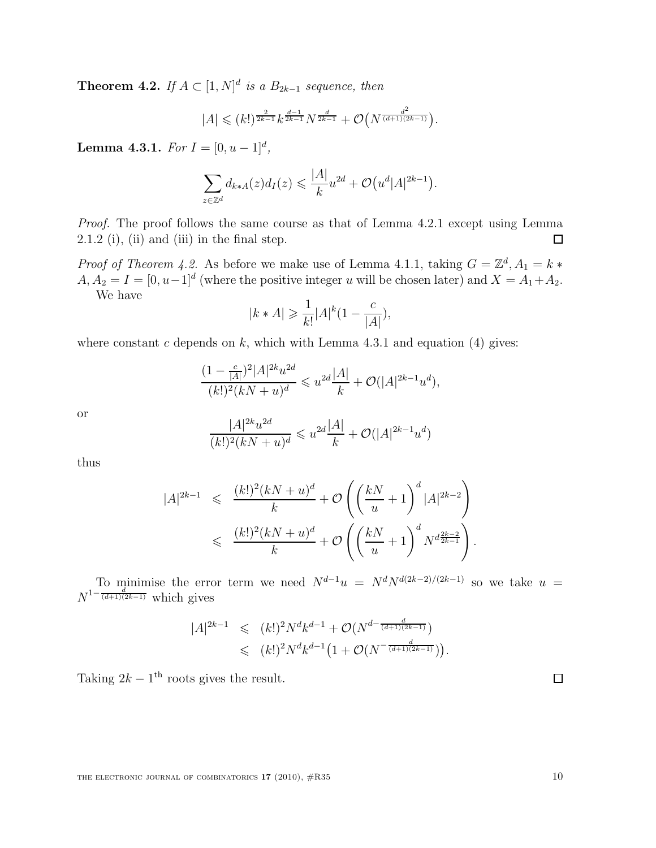**Theorem 4.2.** If  $A \subset [1, N]^d$  is a  $B_{2k-1}$  sequence, then

$$
|A| \leqslant (k!)^{\frac{2}{2k-1}} k^{\frac{d-1}{2k-1}} N^{\frac{d}{2k-1}} + \mathcal{O}\big(N^{\frac{d^2}{(d+1)(2k-1)}}\big).
$$

**Lemma 4.3.1.** For  $I = [0, u-1]^d$ ,

$$
\sum_{z \in \mathbb{Z}^d} d_{k \ast A}(z) d_I(z) \leqslant \frac{|A|}{k} u^{2d} + \mathcal{O}\big(u^d |A|^{2k-1}\big).
$$

Proof. The proof follows the same course as that of Lemma 4.2.1 except using Lemma  $2.1.2$  (i), (ii) and (iii) in the final step. 口

*Proof of Theorem 4.2.* As before we make use of Lemma 4.1.1, taking  $G = \mathbb{Z}^d$ ,  $A_1 = k *$  $A, A_2 = I = [0, u-1]^d$  (where the positive integer u will be chosen later) and  $X = A_1 + A_2$ . We have

$$
|k*A|\geqslant \frac{1}{k!}|A|^{k}\big(1-\frac{c}{|A|}\big),
$$

where constant c depends on k, which with Lemma 4.3.1 and equation (4) gives:

$$
\frac{(1 - \frac{c}{|A|})^2 |A|^{2k} u^{2d}}{(k!)^2 (kN + u)^d} \leq u^{2d} \frac{|A|}{k} + \mathcal{O}(|A|^{2k-1} u^d),
$$

or

$$
\frac{|A|^{2k}u^{2d}}{(k!)^2(kN+u)^d} \leqslant u^{2d}\frac{|A|}{k} + \mathcal{O}(|A|^{2k-1}u^d)
$$

thus

$$
|A|^{2k-1} \leq \frac{(k!)^2(kN+u)^d}{k} + \mathcal{O}\left(\left(\frac{kN}{u} + 1\right)^d |A|^{2k-2}\right)
$$
  

$$
\leq \frac{(k!)^2(kN+u)^d}{k} + \mathcal{O}\left(\left(\frac{kN}{u} + 1\right)^d N^{d\frac{2k-2}{2k-1}}\right).
$$

To minimise the error term we need  $N^{d-1}u = N^d N^{d(2k-2)/(2k-1)}$  so we take  $u =$  $N^{1-\frac{d}{(d+1)(2k-1)}}$  which gives

$$
|A|^{2k-1} \leq (k!)^2 N^d k^{d-1} + \mathcal{O}(N^{d-\frac{d}{(d+1)(2k-1)}}) \leq (k!)^2 N^d k^{d-1} \left(1 + \mathcal{O}(N^{-\frac{d}{(d+1)(2k-1)}})\right).
$$

Taking  $2k - 1$ <sup>th</sup> roots gives the result.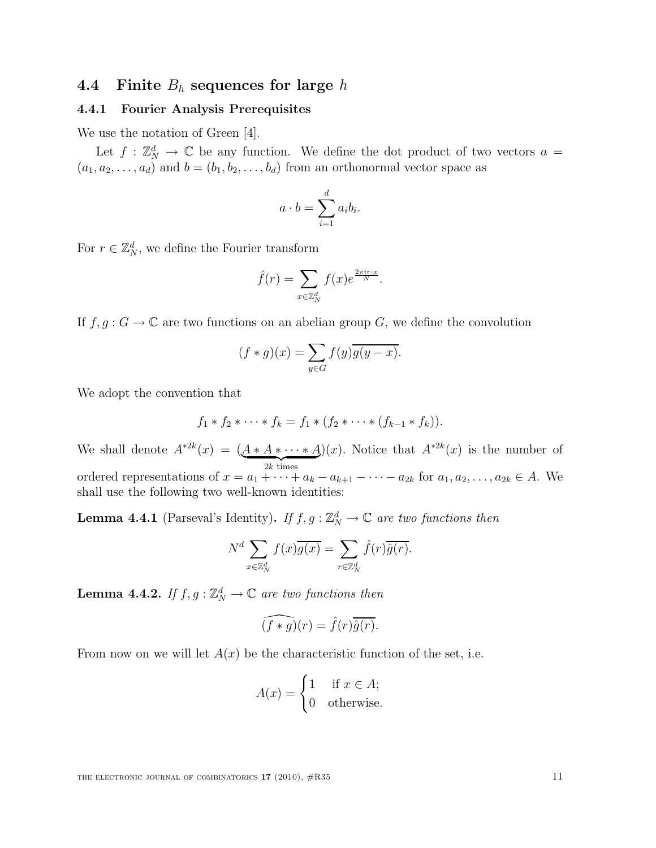### 4.4 Finite  $B_h$  sequences for large h

#### 4.4.1 Fourier Analysis Prerequisites

We use the notation of Green [4].

Let  $f : \mathbb{Z}_N^d \to \mathbb{C}$  be any function. We define the dot product of two vectors  $a =$  $(a_1, a_2, \ldots, a_d)$  and  $b = (b_1, b_2, \ldots, b_d)$  from an orthonormal vector space as

$$
a \cdot b = \sum_{i=1}^{d} a_i b_i.
$$

For  $r \in \mathbb{Z}_N^d$ , we define the Fourier transform

$$
\hat{f}(r) = \sum_{x \in \mathbb{Z}_N^d} f(x) e^{\frac{2\pi ir \cdot x}{N}}.
$$

If  $f, g: G \to \mathbb{C}$  are two functions on an abelian group G, we define the convolution

$$
(f * g)(x) = \sum_{y \in G} f(y)\overline{g(y-x)}.
$$

We adopt the convention that

$$
f_1 * f_2 * \cdots * f_k = f_1 * (f_2 * \cdots * (f_{k-1} * f_k)).
$$

We shall denote  $A^{*2k}(x) = (\underbrace{A*A*\cdots*A}_{2k \text{ times}})$ )(x). Notice that  $A^{*2k}(x)$  is the number of ordered representations of  $x = a_1 + \cdots + a_k - a_{k+1} - \cdots - a_{2k}$  for  $a_1, a_2, \ldots, a_{2k} \in A$ . We shall use the following two well-known identities:

**Lemma 4.4.1** (Parseval's Identity). If  $f, g : \mathbb{Z}_N^d \to \mathbb{C}$  are two functions then

$$
N^d \sum_{x \in \mathbb{Z}_N^d} f(x) \overline{g(x)} = \sum_{r \in \mathbb{Z}_N^d} \hat{f}(r) \overline{\hat{g}(r)}.
$$

**Lemma 4.4.2.** If  $f, g: \mathbb{Z}_N^d \to \mathbb{C}$  are two functions then

$$
\widehat{(f*g)}(r) = \widehat{f}(r)\overline{\widehat{g}(r)}.
$$

From now on we will let  $A(x)$  be the characteristic function of the set, i.e.

$$
A(x) = \begin{cases} 1 & \text{if } x \in A; \\ 0 & \text{otherwise.} \end{cases}
$$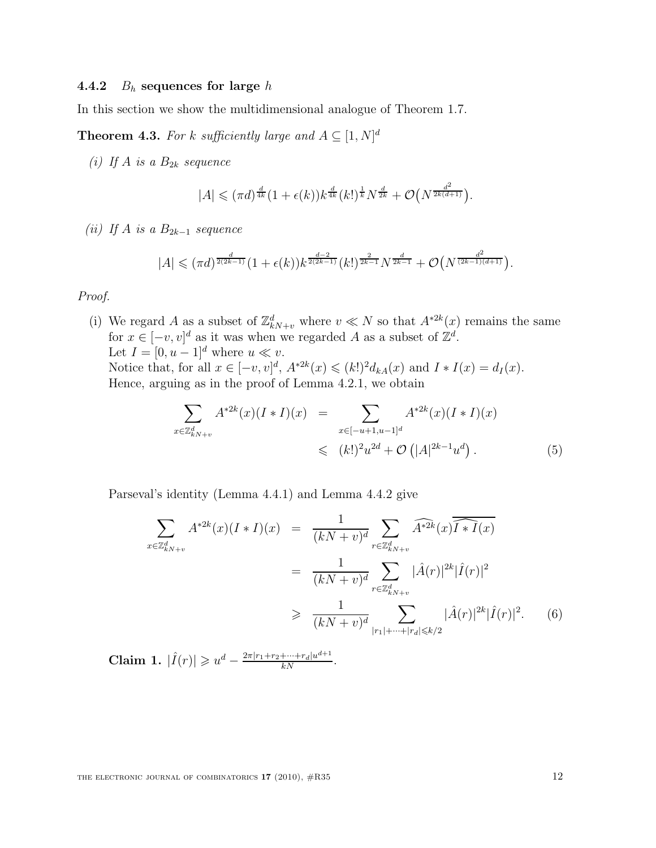#### 4.4.2  $B_h$  sequences for large h

In this section we show the multidimensional analogue of Theorem 1.7.

**Theorem 4.3.** For k sufficiently large and  $A \subseteq [1, N]^d$ 

(i) If A is a  $B_{2k}$  sequence

$$
|A| \leqslant (\pi d)^{\frac{d}{4k}} (1+\epsilon(k)) k^{\frac{d}{4k}} (k!)^{\frac{1}{k}} N^{\frac{d}{2k}} + \mathcal{O}(N^{\frac{d^2}{2k(d+1)}}).
$$

(ii) If A is a  $B_{2k-1}$  sequence

$$
|A| \leqslant (\pi d)^{\frac{d}{2(2k-1)}} (1+\epsilon(k)) k^{\frac{d-2}{2(2k-1)}}(k!)^{\frac{2}{2k-1}} N^{\frac{d}{2k-1}} + \mathcal{O}\big(N^{\frac{d^2}{(2k-1)(d+1)}}\big).
$$

Proof.

(i) We regard A as a subset of  $\mathbb{Z}_{kN+v}^d$  where  $v \ll N$  so that  $A^{*2k}(x)$  remains the same for  $x \in [-v, v]^d$  as it was when we regarded A as a subset of  $\mathbb{Z}^d$ . Let  $I = [0, u - 1]^d$  where  $u \ll v$ . Notice that, for all  $x \in [-v, v]^d$ ,  $A^{*2k}(x) \leq (k!)^2 d_{kA}(x)$  and  $I * I(x) = d_I(x)$ . Hence, arguing as in the proof of Lemma 4.2.1, we obtain

$$
\sum_{x \in \mathbb{Z}_{kN+v}^d} A^{*2k}(x)(I * I)(x) = \sum_{x \in [-u+1, u-1]^d} A^{*2k}(x)(I * I)(x)
$$
  
\$\leqslant (k!)^2 u^{2d} + \mathcal{O}(|A|^{2k-1} u^d) .\$ (5)

Parseval's identity (Lemma 4.4.1) and Lemma 4.4.2 give

$$
\sum_{x \in \mathbb{Z}_{kN+v}^d} A^{*2k}(x)(I * I)(x) = \frac{1}{(kN + v)^d} \sum_{r \in \mathbb{Z}_{kN+v}^d} \widehat{A^{*2k}}(x) \widehat{I * I}(x)
$$
\n
$$
= \frac{1}{(kN + v)^d} \sum_{r \in \mathbb{Z}_{kN+v}^d} |\hat{A}(r)|^{2k} |\hat{I}(r)|^2
$$
\n
$$
\geq \frac{1}{(kN + v)^d} \sum_{|r_1| + \dots + |r_d| \leq k/2} |\hat{A}(r)|^{2k} |\hat{I}(r)|^2. \tag{6}
$$

Claim 1.  $|\hat{I}(r)| \geq u^d - \frac{2\pi |r_1 + r_2 + \dots + r_d|u^{d+1}}{kN}$ .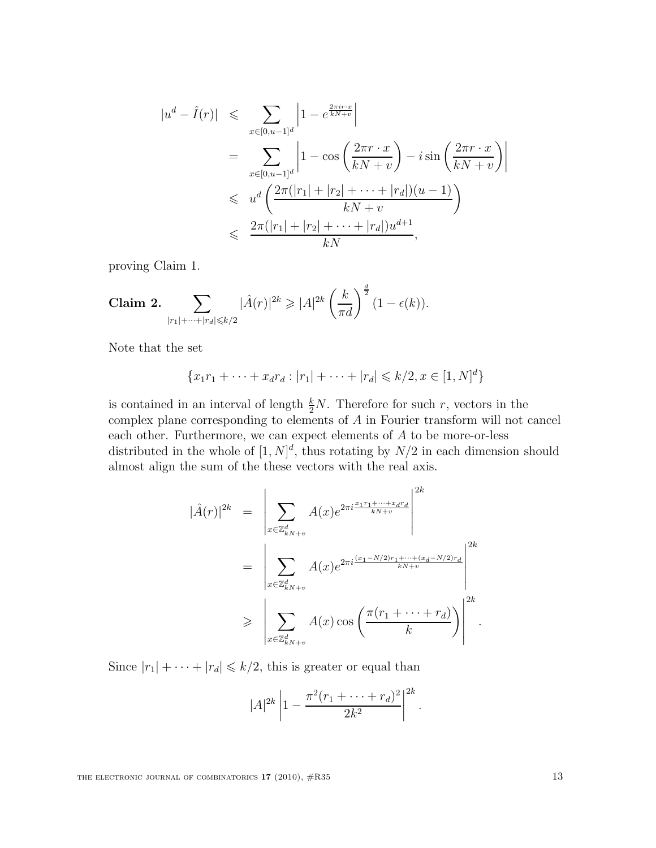$$
|u^{d} - \hat{I}(r)| \leqslant \sum_{x \in [0, u-1]^{d}} \left| 1 - e^{\frac{2\pi i r \cdot x}{kN+v}} \right|
$$
  
\n
$$
= \sum_{x \in [0, u-1]^{d}} \left| 1 - \cos \left( \frac{2\pi r \cdot x}{kN+v} \right) - i \sin \left( \frac{2\pi r \cdot x}{kN+v} \right) \right|
$$
  
\n
$$
\leqslant u^{d} \left( \frac{2\pi (|r_{1}| + |r_{2}| + \dots + |r_{d}|)(u-1)}{kN+v} \right)
$$
  
\n
$$
\leqslant \frac{2\pi (|r_{1}| + |r_{2}| + \dots + |r_{d}|)u^{d+1}}{kN},
$$

proving Claim 1.

Claim 2. 
$$
\sum_{|r_1|+\cdots+|r_d|\leq k/2} |\hat{A}(r)|^{2k} \geq |A|^{2k} \left(\frac{k}{\pi d}\right)^{\frac{d}{2}} (1-\epsilon(k)).
$$

Note that the set

$$
\{x_1r_1 + \dots + x_dr_d : |r_1| + \dots + |r_d| \le k/2, x \in [1, N]^d\}
$$

is contained in an interval of length  $\frac{k}{2}N$ . Therefore for such r, vectors in the complex plane corresponding to elements of A in Fourier transform will not cancel each other. Furthermore, we can expect elements of A to be more-or-less distributed in the whole of  $[1, N]^d$ , thus rotating by  $N/2$  in each dimension should almost align the sum of the these vectors with the real axis.

$$
|\hat{A}(r)|^{2k} = \left| \sum_{x \in \mathbb{Z}_{kN+v}^d} A(x)e^{2\pi i \frac{x_1r_1 + \dots + x_d r_d}{kN+v}} \right|^{2k}
$$
  

$$
= \left| \sum_{x \in \mathbb{Z}_{kN+v}^d} A(x)e^{2\pi i \frac{(x_1 - N/2)r_1 + \dots + (x_d - N/2)r_d}{kN+v}} \right|^{2k}
$$
  

$$
\geq \left| \sum_{x \in \mathbb{Z}_{kN+v}^d} A(x)\cos\left(\frac{\pi (r_1 + \dots + r_d)}{k}\right) \right|^{2k}.
$$

Since  $|r_1| + \cdots + |r_d| \le k/2$ , this is greater or equal than

$$
|A|^{2k} \left| 1 - \frac{\pi^2 (r_1 + \dots + r_d)^2}{2k^2} \right|^{2k}
$$

.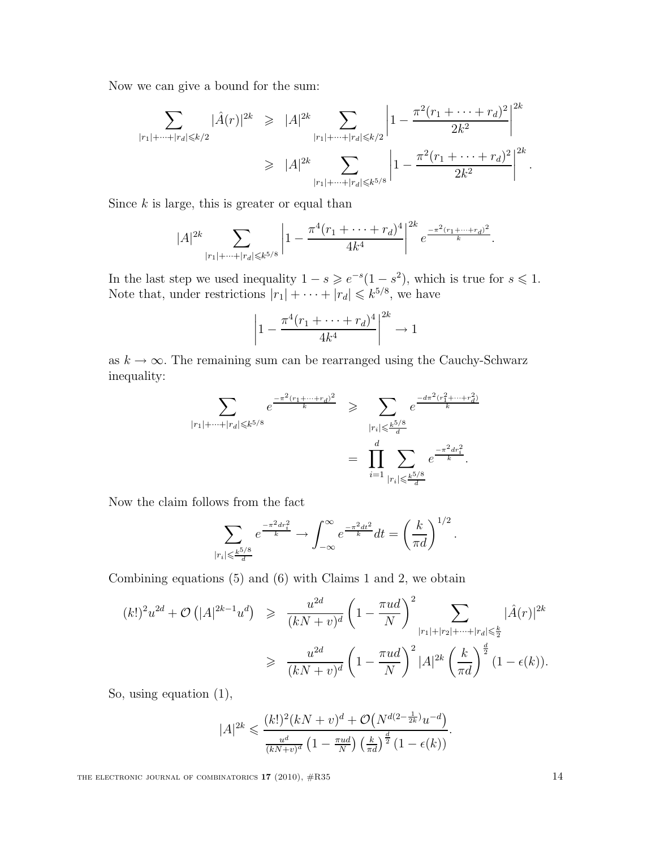Now we can give a bound for the sum:

$$
\sum_{|r_1|+\dots+|r_d|\leq k/2} |\hat{A}(r)|^{2k} \geq |A|^{2k} \sum_{|r_1|+\dots+|r_d|\leq k/2} \left|1-\frac{\pi^2(r_1+\dots+r_d)^2}{2k^2}\right|^{2k}
$$

$$
\geq |A|^{2k} \sum_{|r_1|+\dots+|r_d|\leq k^{5/8}} \left|1-\frac{\pi^2(r_1+\dots+r_d)^2}{2k^2}\right|^{2k}.
$$

Since  $k$  is large, this is greater or equal than

$$
|A|^{2k} \sum_{|r_1|+\cdots+|r_d| \le k^{5/8}} \left| 1 - \frac{\pi^4 (r_1 + \cdots + r_d)^4}{4k^4} \right|^{2k} e^{\frac{-\pi^2 (r_1 + \cdots + r_d)^2}{k}}.
$$

In the last step we used inequality  $1-s \geqslant e^{-s}(1-s^2)$ , which is true for  $s \leqslant 1$ . Note that, under restrictions  $|r_1| + \cdots + |r_d| \leq k^{5/8}$ , we have

$$
\left| 1 - \frac{\pi^4 (r_1 + \dots + r_d)^4}{4k^4} \right|^{2k} \to 1
$$

as  $k \to \infty$ . The remaining sum can be rearranged using the Cauchy-Schwarz inequality:

$$
\sum_{|r_1|+\dots+|r_d|\leqslant k^{5/8}} e^{\frac{-\pi^2(r_1+\dots+r_d)^2}{k}} \geqslant \sum_{|r_i|\leqslant \frac{k^{5/8}}{d}} e^{\frac{-d\pi^2(r_1^2+\dots+r_d^2)}{k}}
$$

$$
= \prod_{i=1}^d \sum_{|r_i|\leqslant \frac{k^{5/8}}{d}} e^{\frac{-\pi^2 dr_i^2}{k}}.
$$

Now the claim follows from the fact

$$
\sum_{|r_i| \leqslant \frac{k^{5/8}}{d}} e^{\frac{-\pi^2 dr_i^2}{k}} \to \int_{-\infty}^{\infty} e^{\frac{-\pi^2 dt^2}{k}} dt = \left(\frac{k}{\pi d}\right)^{1/2}.
$$

Combining equations (5) and (6) with Claims 1 and 2, we obtain

$$
(k!)^2 u^{2d} + \mathcal{O}\left(|A|^{2k-1} u^d\right) \ge \frac{u^{2d}}{(kN+v)^d} \left(1 - \frac{\pi u d}{N}\right)^2 \sum_{|r_1|+|r_2|+\dots+|r_d| \le \frac{k}{2}} |\hat{A}(r)|^{2k}
$$

$$
\ge \frac{u^{2d}}{(kN+v)^d} \left(1 - \frac{\pi u d}{N}\right)^2 |A|^{2k} \left(\frac{k}{\pi d}\right)^{\frac{d}{2}} (1 - \epsilon(k)).
$$

So, using equation (1),

$$
|A|^{2k} \leq \frac{(k!)^2(kN+v)^d + \mathcal{O}(N^{d(2-\frac{1}{2k})}u^{-d})}{\frac{u^d}{(kN+v)^d} \left(1 - \frac{\pi ud}{N}\right) \left(\frac{k}{\pi d}\right)^{\frac{d}{2}} \left(1 - \epsilon(k)\right)}.
$$